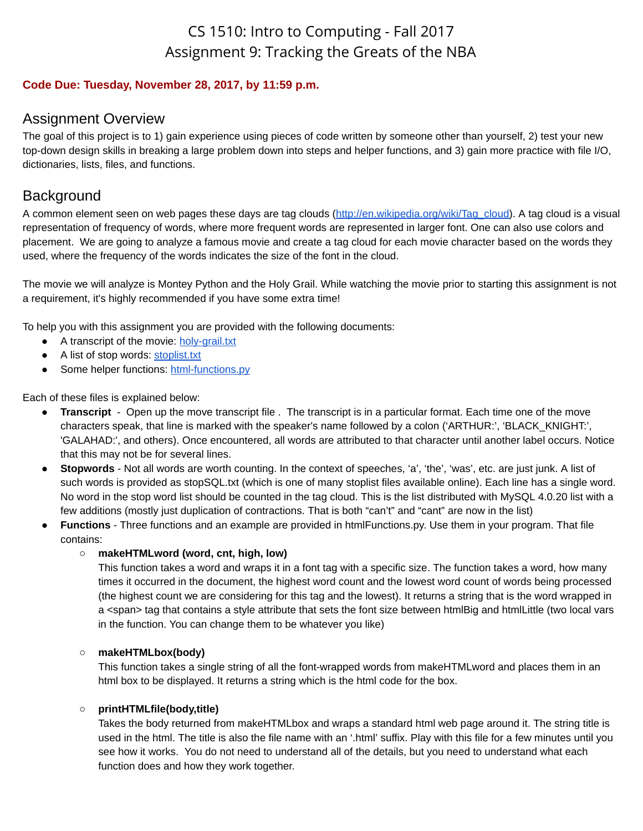# CS 1510: Intro to Computing - Fall 2017 Assignment 9: Tracking the Greats of the NBA

#### **Code Due: Tuesday, November 28, 2017, by 11:59 p.m.**

### Assignment Overview

The goal of this project is to 1) gain experience using pieces of code written by someone other than yourself, 2) test your new top-down design skills in breaking a large problem down into steps and helper functions, and 3) gain more practice with file I/O, dictionaries, lists, files, and functions.

### **Background**

A common element seen on web pages these days are tag clouds ([http://en.wikipedia.org/wiki/Tag\\_cloud](http://en.wikipedia.org/wiki/Tag_cloud)). A tag cloud is a visual representation of frequency of words, where more frequent words are represented in larger font. One can also use colors and placement. We are going to analyze a famous movie and create a tag cloud for each movie character based on the words they used, where the frequency of the words indicates the size of the font in the cloud.

The movie we will analyze is Montey Python and the Holy Grail. While watching the movie prior to starting this assignment is not a requirement, it's highly recommended if you have some extra time!

To help you with this assignment you are provided with the following documents:

- A transcript of the movie: [holy-grail.txt](http://sergey.cs.uni.edu/courses/cs1510/fall2017/homework/holy-grail.txt)
- A list of stop words: [stoplist.txt](http://sergey.cs.uni.edu/courses/cs1510/fall2017/homework/stoplist.txt)
- Some helper functions: [html-functions.py](http://sergey.cs.uni.edu/courses/cs1510/fall2017/homework/html-functions.py)

Each of these files is explained below:

- **Transcript** Open up the move transcript file . The transcript is in a particular format. Each time one of the move characters speak, that line is marked with the speaker's name followed by a colon ('ARTHUR:', 'BLACK\_KNIGHT:', 'GALAHAD:', and others). Once encountered, all words are attributed to that character until another label occurs. Notice that this may not be for several lines.
- **Stopwords** Not all words are worth counting. In the context of speeches, 'a', 'the', 'was', etc. are just junk. A list of such words is provided as stopSQL.txt (which is one of many stoplist files available online). Each line has a single word. No word in the stop word list should be counted in the tag cloud. This is the list distributed with MySQL 4.0.20 list with a few additions (mostly just duplication of contractions. That is both "can't" and "cant" are now in the list)
- **Functions** Three functions and an example are provided in htmlFunctions.py. Use them in your program. That file contains:

#### ○ **makeHTMLword (word, cnt, high, low)**

This function takes a word and wraps it in a font tag with a specific size. The function takes a word, how many times it occurred in the document, the highest word count and the lowest word count of words being processed (the highest count we are considering for this tag and the lowest). It returns a string that is the word wrapped in a <span> tag that contains a style attribute that sets the font size between htmlBig and htmlLittle (two local vars in the function. You can change them to be whatever you like)

#### ○ **makeHTMLbox(body)**

This function takes a single string of all the font-wrapped words from makeHTMLword and places them in an html box to be displayed. It returns a string which is the html code for the box.

#### ○ **printHTMLfile(body,title)**

Takes the body returned from makeHTMLbox and wraps a standard html web page around it. The string title is used in the html. The title is also the file name with an '.html' suffix. Play with this file for a few minutes until you see how it works. You do not need to understand all of the details, but you need to understand what each function does and how they work together.